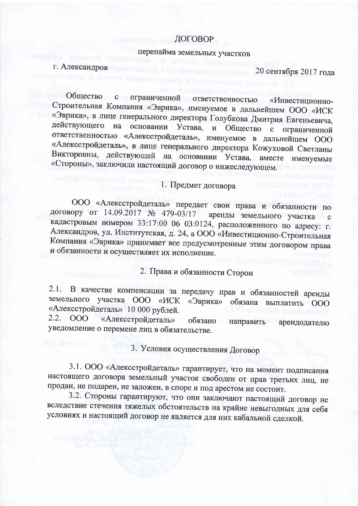## ДОГОВОР

## перенайма земельных участков

г. Александров

20 сентября 2017 года

Общество с ограниченной ответственностью «Инвестиционно-Строительная Компания «Эврика», именуемое в дальнейшем ООО «ИСК «Эврика», в лице генерального директора Голубкова Дмитрия Евгеньевича, действующего на основании Устава, и Общество с ограниченной ответственностью «Алексстройдеталь», именуемое в дальнейшем ООО «Алексстройдеталь», в лице генерального директора Кожуховой Светланы Викторовны, действующей на основании Устава, вместе именуемые «Стороны», заключили настоящий договор о нижеследующем.

## 1. Предмет договора

ООО «Алексстройдеталь» передает свои права и обязанности по договору от 14.09.2017 № 479-03/17 аренды земельного участка с кадастровым номером 33:17:00 06 03:0124, расположенного по адресу: г. Александров, ул. Институтская, д. 24, а ООО «Инвестиционно-Строительная Компания «Эврика» принимает все предусмотренные этим договором права и обязанности и осуществляет их исполнение.

2. Права и обязанности Сторон

2.1. В качестве компенсации за передачу прав и обязанностей аренды земельного участка ООО «ИСК «Эврика» обязана выплатить ООО «Алексстройдеталь» 10 000 рублей.

2.2. 000 «Алексстройдеталь» обязано направить арендодателю уведомление о перемене лиц в обязательстве.

3. Условия осуществления Договор

3.1. ООО «Алексстройдеталь» гарантирует, что на момент подписания настоящего договора земельный участок свободен от прав третьих лиц, не продан, не подарен, не заложен, в споре и под арестом не состоит.

3.2. Стороны гарантируют, что они заключают настоящий договор не вследствие стечения тяжелых обстоятельств на крайне невыгодных для себя условиях и настоящий договор не является для них кабальной сделкой.